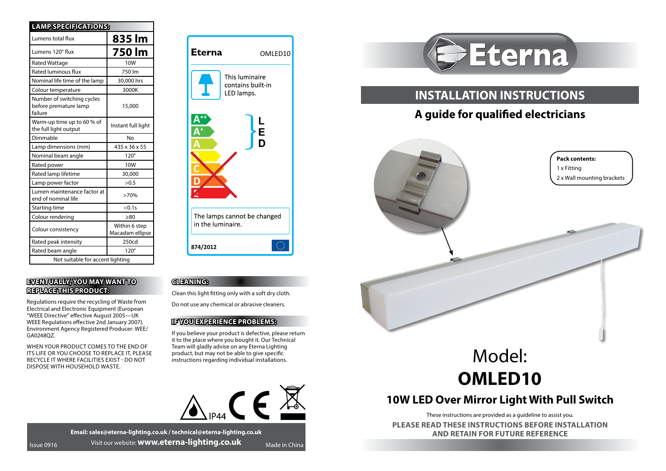| <b>LAMP SPECIFICATIONS:</b>                                    |                                  |
|----------------------------------------------------------------|----------------------------------|
| Lumens total flux                                              | 835 lm                           |
| Lumens 120° flux                                               | 750 lm                           |
| <b>Rated Wattage</b>                                           | 10 <sub>W</sub>                  |
| Rated luminous flux                                            | 750 lm                           |
| Nominal life time of the lamp                                  | 30,000 hrs                       |
| Colour temperature                                             | 3000K                            |
| Number of switching cycles<br>before premature lamp<br>failure | 15,000                           |
| Warm-up time up to 60 % of<br>the full light output            | Instant full light               |
| Dimmable                                                       | No                               |
| Lamp dimensions (mm)                                           | 435 x 36 x 55                    |
| Nominal beam angle                                             | $120^\circ$                      |
| Rated power                                                    | 10W                              |
| Rated lamp lifetime                                            | 30,000                           |
| Lamp power factor                                              | >0.5                             |
| Lumen maintenance factor at<br>end of nominal life             | >70%                             |
| Starting time                                                  | < 0.1s                           |
| Colour rendering                                               | >80                              |
| Colour consistency                                             | Within 6 step<br>Macadam ellipse |
| Rated peak intensity                                           | 250cd                            |
| Rated beam angle                                               | $120^\circ$                      |
| Not suitable for accent lighting                               |                                  |

## **EVENTUALLY, YOU MAY WANT TO REPLACE THIS PRODUCT:**

Regulations require the recycling of Waste from Electrical and Electronic Equipment (European "WEEE Directive" effective August 2005—UK WEEE Regulations effective 2nd January 2007). Environment Agency Registered Producer: WEE/ GA0248QZ.

WHEN YOUR PRODUCT COMES TO THE END OF ITS LIFE OR YOU CHOOSE TO REPLACE IT, PLEASE RECYCLE IT WHERE FACILITIES EXIST - DO NOT DISPOSE WITH HOUSEHOLD WASTE.



## **CELEXNING:**

Clean this light fitting only with a soft dry cloth.

Do not use any chemical or abrasive cleaners.

## **IF YOU EXPERIENCE PROBLEMS:**

If you believe your product is defective, please return it to the place where you bought it. Our Technical Team will gladly advise on any Eterna Lighting product, but may not be able to give specific instructions regarding individual installations.



**Email: sales@eterna-lighting.co.uk / technical@eterna-lighting.co.uk Issue 0916** Visit our website: **www.eterna-lighting.co.uk** Made in China



## **INSTALLATION INSTRUCTIONS**

# **A guide for qualified electricians**



# Model: **OMLED10**

## **10W LED Over Mirror Light With Pull Switch**

These instructions are provided as a guideline to assist you.

**PLEASE READ THESE INSTRUCTIONS BEFORE INSTALLATION AND RETAIN FOR FUTURE REFERENCE**